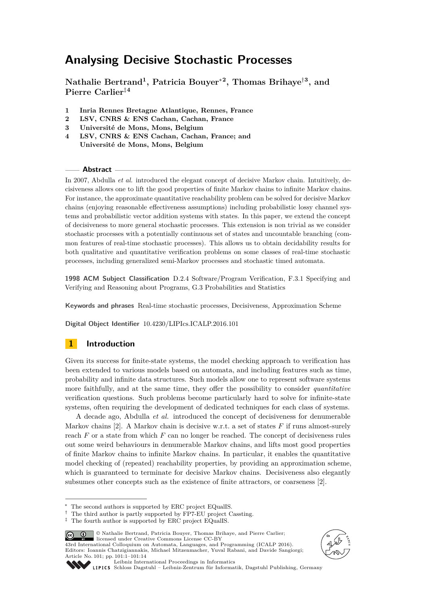# **Analysing Decisive Stochastic Processes**

**Nathalie Bertrand<sup>1</sup> , Patricia Bouyer**<sup>∗</sup>**<sup>2</sup> , Thomas Brihaye**†**<sup>3</sup> , and Pierre Carlier**‡**<sup>4</sup>**

- **1 Inria Rennes Bretagne Atlantique, Rennes, France**
- **2 LSV, CNRS & ENS Cachan, Cachan, France**
- **3 Université de Mons, Mons, Belgium**
- **4 LSV, CNRS & ENS Cachan, Cachan, France; and Université de Mons, Mons, Belgium**

## **Abstract**

In 2007, Abdulla *et al.* introduced the elegant concept of decisive Markov chain. Intuitively, decisiveness allows one to lift the good properties of finite Markov chains to infinite Markov chains. For instance, the approximate quantitative reachability problem can be solved for decisive Markov chains (enjoying reasonable effectiveness assumptions) including probabilistic lossy channel systems and probabilistic vector addition systems with states. In this paper, we extend the concept of decisiveness to more general stochastic processes. This extension is non trivial as we consider stochastic processes with a potentially continuous set of states and uncountable branching (common features of real-time stochastic processes). This allows us to obtain decidability results for both qualitative and quantitative verification problems on some classes of real-time stochastic processes, including generalized semi-Markov processes and stochastic timed automata.

**1998 ACM Subject Classification** D.2.4 Software/Program Verification, F.3.1 Specifying and Verifying and Reasoning about Programs, G.3 Probabilities and Statistics

**Keywords and phrases** Real-time stochastic processes, Decisiveness, Approximation Scheme

**Digital Object Identifier** [10.4230/LIPIcs.ICALP.2016.101](http://dx.doi.org/10.4230/LIPIcs.ICALP.2016.101)

# **1 Introduction**

Given its success for finite-state systems, the model checking approach to verification has been extended to various models based on automata, and including features such as time, probability and infinite data structures. Such models allow one to represent software systems more faithfully, and at the same time, they offer the possibility to consider *quantitative* verification questions. Such problems become particularly hard to solve for infinite-state systems, often requiring the development of dedicated techniques for each class of systems.

A decade ago, Abdulla *et al.* introduced the concept of decisiveness for denumerable Markov chains [\[2\]](#page-12-0). A Markov chain is decisive w.r.t. a set of states F if runs almost-surely reach *F* or a state from which *F* can no longer be reached. The concept of decisiveness rules out some weird behaviours in denumerable Markov chains, and lifts most good properties of finite Markov chains to infinite Markov chains. In particular, it enables the quantitative model checking of (repeated) reachability properties, by providing an approximation scheme, which is guaranteed to terminate for decisive Markov chains. Decisiveness also elegantly subsumes other concepts such as the existence of finite attractors, or coarseness [\[2\]](#page-12-0).



43rd International Colloquium on Automata, Languages, and Programming (ICALP 2016). Editors: Ioannis Chatzigiannakis, Michael Mitzenmacher, Yuval Rabani, and Davide Sangiorgi;

[Schloss Dagstuhl – Leibniz-Zentrum für Informatik, Dagstuhl Publishing, Germany](http://www.dagstuhl.de)

<sup>∗</sup> The second authors is supported by ERC project EQualIS.

<sup>†</sup> The third author is partly supported by FP7-EU project Cassting.

 $\overline{{}^{\ddagger}}$  The fourth author is supported by ERC project EQualIS.

<sup>©</sup> Nathalie Bertrand, Patricia Bouyer, Thomas Brihaye, and Pierre Carlier;  $\circ$   $\circ$ licensed under Creative Commons License CC-BY

Article No. 101; pp. 101:1–101[:14](#page-13-0)

[Leibniz International Proceedings in Informatics](http://www.dagstuhl.de/lipics/)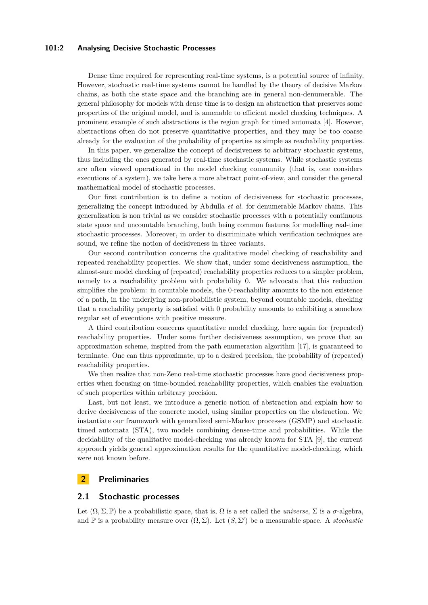## **101:2 Analysing Decisive Stochastic Processes**

Dense time required for representing real-time systems, is a potential source of infinity. However, stochastic real-time systems cannot be handled by the theory of decisive Markov chains, as both the state space and the branching are in general non-denumerable. The general philosophy for models with dense time is to design an abstraction that preserves some properties of the original model, and is amenable to efficient model checking techniques. A prominent example of such abstractions is the region graph for timed automata [\[4\]](#page-12-1). However, abstractions often do not preserve quantitative properties, and they may be too coarse already for the evaluation of the probability of properties as simple as reachability properties.

In this paper, we generalize the concept of decisiveness to arbitrary stochastic systems, thus including the ones generated by real-time stochastic systems. While stochastic systems are often viewed operational in the model checking community (that is, one considers executions of a system), we take here a more abstract point-of-view, and consider the general mathematical model of stochastic processes.

Our first contribution is to define a notion of decisiveness for stochastic processes, generalizing the concept introduced by Abdulla *et al.* for denumerable Markov chains. This generalization is non trivial as we consider stochastic processes with a potentially continuous state space and uncountable branching, both being common features for modelling real-time stochastic processes. Moreover, in order to discriminate which verification techniques are sound, we refine the notion of decisiveness in three variants.

Our second contribution concerns the qualitative model checking of reachability and repeated reachability properties. We show that, under some decisiveness assumption, the almost-sure model checking of (repeated) reachability properties reduces to a simpler problem, namely to a reachability problem with probability 0. We advocate that this reduction simplifies the problem: in countable models, the 0-reachability amounts to the non existence of a path, in the underlying non-probabilistic system; beyond countable models, checking that a reachability property is satisfied with 0 probability amounts to exhibiting a somehow regular set of executions with positive measure.

A third contribution concerns quantitative model checking, here again for (repeated) reachability properties. Under some further decisiveness assumption, we prove that an approximation scheme, inspired from the path enumeration algorithm [\[17\]](#page-13-1), is guaranteed to terminate. One can thus approximate, up to a desired precision, the probability of (repeated) reachability properties.

We then realize that non-Zeno real-time stochastic processes have good decisiveness properties when focusing on time-bounded reachability properties, which enables the evaluation of such properties within arbitrary precision.

Last, but not least, we introduce a generic notion of abstraction and explain how to derive decisiveness of the concrete model, using similar properties on the abstraction. We instantiate our framework with generalized semi-Markov processes (GSMP) and stochastic timed automata (STA), two models combining dense-time and probabilities. While the decidability of the qualitative model-checking was already known for STA [\[9\]](#page-12-2), the current approach yields general approximation results for the quantitative model-checking, which were not known before.

# **2 Preliminaries**

# **2.1 Stochastic processes**

Let  $(\Omega, \Sigma, \mathbb{P})$  be a probabilistic space, that is,  $\Omega$  is a set called the *universe*,  $\Sigma$  is a  $\sigma$ -algebra, and  $\mathbb P$  is a probability measure over  $(\Omega, \Sigma)$ . Let  $(S, \Sigma')$  be a measurable space. A *stochastic*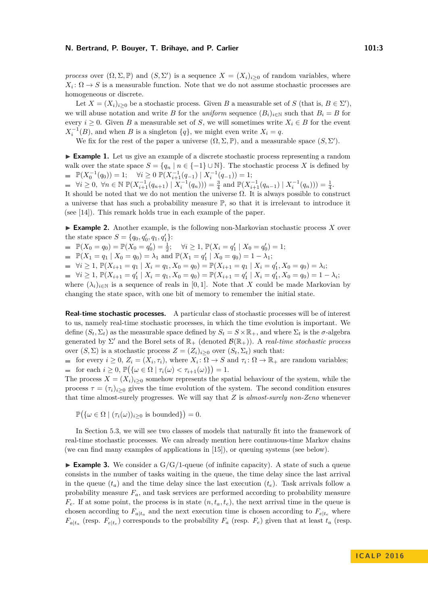*process* over  $(\Omega, \Sigma, \mathbb{P})$  and  $(S, \Sigma')$  is a sequence  $X = (X_i)_{i \geq 0}$  of random variables, where  $X_i: \Omega \to S$  is a measurable function. Note that we do not assume stochastic processes are homogeneous or discrete.

Let  $X = (X_i)_{i \geq 0}$  be a stochastic process. Given *B* a measurable set of *S* (that is,  $B \in \Sigma'$ ), we will abuse notation and write *B* for the *uniform* sequence  $(B_i)_{i\in\mathbb{N}}$  such that  $B_i = B$  for every  $i \geq 0$ . Given *B* a measurable set of *S*, we will sometimes write  $X_i \in B$  for the event  $X_i^{-1}(B)$ , and when *B* is a singleton  $\{q\}$ , we might even write  $X_i = q$ .

We fix for the rest of the paper a universe  $(\Omega, \Sigma, \mathbb{P})$ , and a measurable space  $(S, \Sigma')$ .

<span id="page-2-0"></span>► **Example 1.** Let us give an example of a discrete stochastic process representing a random walk over the state space  $S = \{q_n \mid n \in \{-1\} \cup \mathbb{N}\}\$ . The stochastic process *X* is defined by  $\mathbb{P}(X_0^{-1}(q_0)) = 1; \quad \forall i \geq 0 \; \mathbb{P}(X_{i+1}^{-1}(q_{-1}) \mid X_i^{-1}(q_{-1})) = 1;$ 

 $\forall i \geq 0, \ \forall n \in \mathbb{N} \ \mathbb{P}(X_{i+1}^{-1}(q_{n+1}) \mid X_i^{-1}(q_n))) = \frac{3}{4} \text{ and } \mathbb{P}(X_{i+1}^{-1}(q_{n-1}) \mid X_i^{-1}(q_n))) = \frac{1}{4}.$ 

It should be noted that we do not mention the universe  $\Omega$ . It is always possible to construct a universe that has such a probability measure P, so that it is irrelevant to introduce it (see [\[14\]](#page-13-2)). This remark holds true in each example of the paper.

<span id="page-2-1"></span>**Example 2.** Another example, is the following non-Markovian stochastic process  $\overline{X}$  over the state space  $S = \{q_0, q'_0, q_1, q'_1\}$ :

- $\mathbb{P}(X_0 = q_0) = \mathbb{P}(X_0 = q'_0) = \frac{1}{2}; \quad \forall i \ge 1, \, \mathbb{P}(X_i = q'_1 \mid X_0 = q'_0) = 1;$
- $\mathbb{P}(X_1 = q_1 | X_0 = q_0) = \lambda_1$  and  $\mathbb{P}(X_1 = q'_1 | X_0 = q_0) = 1 \lambda_1$ ;
- $\forall i \geq 1, \, \mathbb{P}(X_{i+1} = q_1 \mid X_i = q_1, X_0 = q_0) = \mathbb{P}(X_{i+1} = q_1 \mid X_i = q'_1, X_0 = q_0) = \lambda_i;$

 $\forall i \geq 1, \, \mathbb{P}(X_{i+1} = q'_1 \mid X_i = q_1, X_0 = q_0) = \mathbb{P}(X_{i+1} = q'_1 \mid X_i = q'_1, X_0 = q_0) = 1 - \lambda_i;$ 

where  $(\lambda_i)_{i\in\mathbb{N}}$  is a sequence of reals in [0,1]. Note that *X* could be made Markovian by changing the state space, with one bit of memory to remember the initial state.

**Real-time stochastic processes.** A particular class of stochastic processes will be of interest to us, namely real-time stochastic processes, in which the time evolution is important. We define  $(S_t, \Sigma_t)$  as the measurable space defined by  $S_t = S \times \mathbb{R}_+$ , and where  $\Sigma_t$  is the  $\sigma$ -algebra generated by  $\Sigma'$  and the Borel sets of  $\mathbb{R}_+$  (denoted  $\mathcal{B}(\mathbb{R}_+)$ ). A *real-time stochastic process* over  $(S, \Sigma)$  is a stochastic process  $Z = (Z_i)_{i>0}$  over  $(S_t, \Sigma_t)$  such that:

for every  $i \geq 0$ ,  $Z_i = (X_i, \tau_i)$ , where  $X_i: \Omega \to S$  and  $\tau_i: \Omega \to \mathbb{R}_+$  are random variables; for each  $i \geq 0$ ,  $\mathbb{P}(\{\omega \in \Omega \mid \tau_i(\omega) < \tau_{i+1}(\omega)\}) = 1$ .

The process  $X = (X_i)_{i \geq 0}$  somehow represents the spatial behaviour of the system, while the process  $\tau = (\tau_i)_{i>0}$  gives the time evolution of the system. The second condition ensures that time almost-surely progresses. We will say that *Z* is *almost-surely non-Zeno* whenever

$$
\mathbb{P}\big(\{\omega \in \Omega \mid (\tau_i(\omega))_{i \geq 0} \text{ is bounded}\}\big) = 0.
$$

In Section [5.3,](#page-9-0) we will see two classes of models that naturally fit into the framework of real-time stochastic processes. We can already mention here continuous-time Markov chains (we can find many examples of applications in [\[15\]](#page-13-3)), or queuing systems (see below).

<span id="page-2-2"></span>**Example 3.** We consider a  $G/G/1$ -queue (of infinite capacity). A state of such a queue consists in the number of tasks waiting in the queue, the time delay since the last arrival in the queue  $(t_a)$  and the time delay since the last execution  $(t_e)$ . Task arrivals follow a probability measure  $F_a$ , and task services are performed according to probability measure  $F_e$ . If at some point, the process is in state  $(n, t_a, t_e)$ , the next arrival time in the queue is chosen according to  $F_{a|t_a}$  and the next execution time is chosen according to  $F_{e|t_e}$  where  $F_{a|t_a}$  (resp.  $F_{e|t_e}$ ) corresponds to the probability  $F_a$  (resp.  $F_e$ ) given that at least  $t_a$  (resp.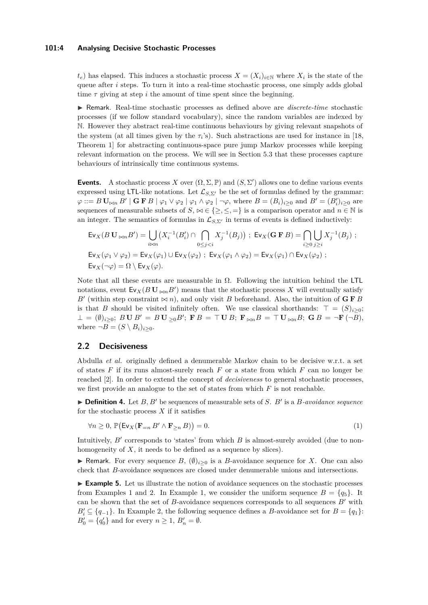#### **101:4 Analysing Decisive Stochastic Processes**

 $t_e$ ) has elapsed. This induces a stochastic process  $X = (X_i)_{i \in \mathbb{N}}$  where  $X_i$  is the state of the queue after *i* steps. To turn it into a real-time stochastic process, one simply adds global time  $\tau$  giving at step *i* the amount of time spent since the beginning.

I Remark. Real-time stochastic processes as defined above are *discrete-time* stochastic processes (if we follow standard vocabulary), since the random variables are indexed by N. However they abstract real-time continuous behaviours by giving relevant snapshots of the system (at all times given by the  $\tau_i$ 's). Such abstractions are used for instance in [\[18,](#page-13-4) Theorem 1] for abstracting continuous-space pure jump Markov processes while keeping relevant information on the process. We will see in Section [5.3](#page-9-0) that these processes capture behaviours of intrinsically time continuous systems.

**Events.** A stochastic process *X* over  $(\Omega, \Sigma, \mathbb{P})$  and  $(S, \Sigma')$  allows one to define various events expressed using LTL-like notations. Let  $\mathcal{L}_{S,\Sigma'}$  be the set of formulas defined by the grammar:  $\varphi ::= B \mathbf{U}_{\bowtie n} B' | \mathbf{G} \mathbf{F} B | \varphi_1 \vee \varphi_2 | \varphi_1 \wedge \varphi_2 | \neg \varphi$ , where  $B = (B_i)_{i \geq 0}$  and  $B' = (B'_i)_{i \geq 0}$  are sequences of measurable subsets of *S*,  $\bowtie \in \{\geq, \leq, =\}$  is a comparison operator and  $n \in \mathbb{N}$  is an integer. The semantics of formulas in  $\mathcal{L}_{S,\Sigma'}$  in terms of events is defined inductively:

$$
\mathsf{Ev}_X(B\,\mathbf{U}_{\bowtie n}B') = \bigcup_{i\bowtie n} (X_i^{-1}(B_i') \cap \bigcap_{0 \le j < i} X_j^{-1}(B_j)) ; \ \mathsf{Ev}_X(\mathbf{G}\,\mathbf{F}\,B) = \bigcap_{i \ge 0} \bigcup_{j \ge i} X_j^{-1}(B_j) ;
$$
\n
$$
\mathsf{Ev}_X(\varphi_1 \vee \varphi_2) = \mathsf{Ev}_X(\varphi_1) \cup \mathsf{Ev}_X(\varphi_2) ; \ \mathsf{Ev}_X(\varphi_1 \wedge \varphi_2) = \mathsf{Ev}_X(\varphi_1) \cap \mathsf{Ev}_X(\varphi_2) ;
$$
\n
$$
\mathsf{Ev}_X(\neg \varphi) = \Omega \setminus \mathsf{Ev}_X(\varphi).
$$

Note that all these events are measurable in  $\Omega$ . Following the intuition behind the LTL notations, event  $\mathsf{Ev}_X(B \mathbf{U}_{\bowtie n} B')$  means that the stochastic process X will eventually satisfy *B*<sup> $\prime$ </sup> (within step constraint  $\bowtie$  *n*), and only visit *B* beforehand. Also, the intuition of **G F** *B* is that *B* should be visited infinitely often. We use classical shorthands:  $\top = (S)_{i\geq 0}$ ;  $\bot = (\emptyset)_{i \geq 0}; \ B \mathbf{U} B' = B \mathbf{U}_{\geq 0} B'; \ \mathbf{F} B = \top \mathbf{U} B; \ \mathbf{F}_{\bowtie n} B = \top \mathbf{U}_{\bowtie n} B; \ \mathbf{G} B = \neg \mathbf{F} (\neg B),$ where  $\neg B = (S \setminus B_i)_{i \geq 0}$ .

# **2.2 Decisiveness**

Abdulla *et al.* originally defined a denumerable Markov chain to be decisive w.r.t. a set of states *F* if its runs almost-surely reach *F* or a state from which *F* can no longer be reached [\[2\]](#page-12-0). In order to extend the concept of *decisiveness* to general stochastic processes, we first provide an analogue to the set of states from which *F* is not reachable.

 $\blacktriangleright$  **Definition 4.** Let  $B, B'$  be sequences of measurable sets of *S*. *B*<sup>*'*</sup> is a *B-avoidance sequence* for the stochastic process *X* if it satisfies

$$
\forall n \ge 0, \, \mathbb{P}\big(\mathsf{Ev}_X(\mathbf{F}_{=n} B' \land \mathbf{F}_{\ge n} B)\big) = 0. \tag{1}
$$

Intuitively,  $B'$  corresponds to 'states' from which  $B$  is almost-surely avoided (due to nonhomogeneity of  $X$ , it needs to be defined as a sequence by slices).

**► Remark.** For every sequence  $B$ ,  $(\emptyset)_{i>0}$  is a *B*-avoidance sequence for *X*. One can also check that *B*-avoidance sequences are closed under denumerable unions and intersections.

<span id="page-3-0"></span>► **Example 5.** Let us illustrate the notion of avoidance sequences on the stochastic processes from Examples [1](#page-2-0) and [2.](#page-2-1) In Example [1,](#page-2-0) we consider the uniform sequence  $B = \{q_5\}$ . It can be shown that the set of *B*-avoidance sequences corresponds to all sequences  $B'$  with  $B_i' \subseteq \{q_{-1}\}.$  In Example [2,](#page-2-1) the following sequence defines a *B*-avoidance set for  $B = \{q_1\}$ :  $B'_0 = \{q'_0\}$  and for every  $n \geq 1$ ,  $B'_n = \emptyset$ .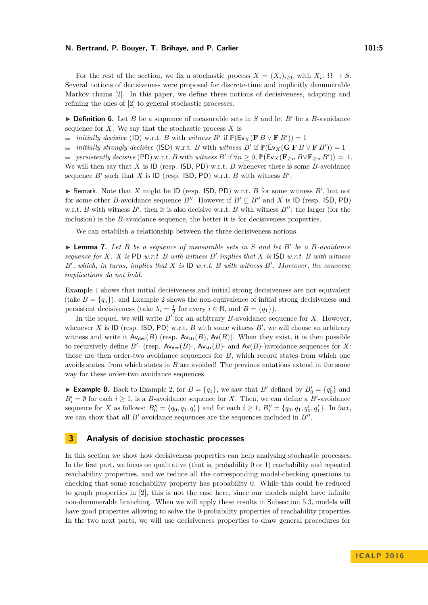For the rest of the section, we fix a stochastic process  $X = (X_i)_{i \geq 0}$  with  $X_i: \Omega \to S$ . Several notions of decisiveness were proposed for discrete-time and implicitly denumerable Markov chains [\[2\]](#page-12-0). In this paper, we define three notions of decisiveness, adapting and refining the ones of [\[2\]](#page-12-0) to general stochastic processes.

 $\triangleright$  **Definition 6.** Let *B* be a sequence of measurable sets in *S* and let *B'* be a *B*-avoidance sequence for  $X$ . We say that the stochastic process  $X$  is

- *initially decisive* (ID) w.r.t. *B* with *witness B*<sup> $\prime$ </sup> if  $\mathbb{P}(\mathsf{Ev}_X(\mathbf{F} B \vee \mathbf{F} B')) = 1$
- *initially strongly decisive* (ISD) w.r.t. *B* with *witness B*<sup>*i*</sup> if  $\mathbb{P}(\mathsf{Ev}_X(\mathbf{G} \mathbf{F} B \vee \mathbf{F} B')) = 1$

*persistently decisive* (PD) w.r.t. *B* with *witness*  $B'$  if  $\forall n \geq 0$ ,  $\mathbb{P}(\mathsf{Ev}_X(\mathbf{F}_{\geq n} B \lor \mathbf{F}_{\geq n} B')) = 1$ .  $\rightarrow$ We will then say that *X* is ID (resp. ISD, PD) w.r.t. *B* whenever there is some *B*-avoidance sequence  $B'$  such that  $X$  is ID (resp. ISD, PD) w.r.t.  $B$  with witness  $B'$ .

 $\blacktriangleright$  Remark. Note that *X* might be ID (resp. ISD, PD) w.r.t. *B* for some witness *B'*, but not for some other *B*-avoidance sequence *B*<sup>0</sup>. However if  $B' \subseteq B''$  and *X* is ID (resp. ISD, PD) w.r.t. *B* with witness  $B'$ , then it is also decisive w.r.t. *B* with witness  $B''$ : the larger (for the inclusion) is the *B*-avoidance sequence, the better it is for decisiveness properties.

We can establish a relationship between the three decisiveness notions.

 $\blacktriangleright$  **Lemma 7.** Let *B* be a sequence of measurable sets in *S* and let *B*<sup>'</sup> be a *B*-avoidance  $sequence for X. X is \textsf{PD} \ w.r.t. B \ with \ witness B' \ implies that X is \textsf{ISD} \ w.r.t. B \ with \ witness B' \ for \ X. X is \textsf{PD} \ for \ X.$  $B'$ , which, in turns, implies that  $X$  is  $\mathsf{ID}$  w.r.t.  $B$  with witness  $B'$ . Moreover, the converse *implications do not hold.*

Example [1](#page-2-0) shows that initial decisiveness and initial strong decisiveness are not equivalent (take  $B = \{q_5\}$ ), and Example [2](#page-2-1) shows the non-equivalence of initial strong decisiveness and persistent decisiveness (take  $\lambda_i = \frac{1}{2}$  for every  $i \in \mathbb{N}$ , and  $B = \{q_1\}$ ).

In the sequel, we will write  $B'$  for an arbitrary  $B$ -avoidance sequence for  $X$ . However, whenever *X* is ID (resp. ISD, PD) w.r.t. *B* with some witness  $B'$ , we will choose an arbitrary witness and write it  $\mathsf{Av}_{\mathsf{dec}}(B)$  (resp.  $\mathsf{Av}_{\mathsf{str}}(B)$ ,  $\mathsf{Av}(B)$ ). When they exist, it is then possible to recursively define  $B'$ - (resp.  $\mathsf{Av}_{\mathsf{dec}}(B)$ -,  $\mathsf{Av}_{\mathsf{str}}(B)$ - and  $\mathsf{Av}(B)$ -)avoidance sequences for *X*: those are then order-two avoidance sequences for *B*, which record states from which one avoids states, from which states in *B* are avoided! The previous notations extend in the same way for these order-two avoidance sequences.

**Example 8.** Back to Example [2,](#page-2-1) for  $B = \{q_1\}$ , we saw that *B'* defined by  $B'_0 = \{q'_0\}$  and  $B_i' = \emptyset$  for each  $i \geq 1$ , is a *B*-avoidance sequence for *X*. Then, we can define a *B*'-avoidance sequence for *X* as follows:  $B_0'' = \{q_0, q_1, q_1'\}$  and for each  $i \ge 1$ ,  $B_i'' = \{q_0, q_1, q_0', q_1'\}$ . In fact, we can show that all  $B'$ -avoidance sequences are the sequences included in  $B''$ .

# <span id="page-4-0"></span>**3 Analysis of decisive stochastic processes**

In this section we show how decisiveness properties can help analysing stochastic processes. In the first part, we focus on qualitative (that is, probability 0 or 1) reachability and repeated reachability properties, and we reduce all the corresponding model-checking questions to checking that some reachability property has probability 0. While this could be reduced to graph properties in [\[2\]](#page-12-0), this is not the case here, since our models might have infinite non-denumerable branching. When we will apply these results in Subsection [5.3,](#page-9-0) models will have good properties allowing to solve the 0-probability properties of reachability properties. In the two next parts, we will use decisiveness properties to draw general procedures for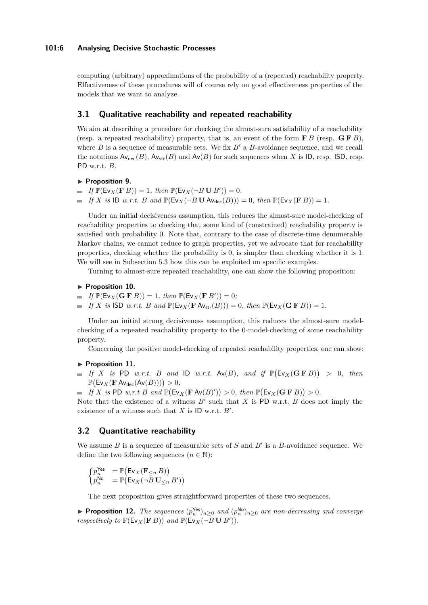## **101:6 Analysing Decisive Stochastic Processes**

computing (arbitrary) approximations of the probability of a (repeated) reachability property. Effectiveness of these procedures will of course rely on good effectiveness properties of the models that we want to analyze.

# <span id="page-5-0"></span>**3.1 Qualitative reachability and repeated reachability**

We aim at describing a procedure for checking the almost-sure satisfiability of a reachability (resp. a repeated reachability) property, that is, an event of the form  $\mathbf{F} B$  (resp.  $\mathbf{G} \mathbf{F} B$ ), where  $B$  is a sequence of measurable sets. We fix  $B'$  a  $B$ -avoidance sequence, and we recall the notations  $\mathsf{Av}_{\mathsf{der}}(B)$ ,  $\mathsf{Av}_{\mathsf{str}}(B)$  and  $\mathsf{Av}(B)$  for such sequences when *X* is ID, resp. ISD, resp. PD w.r.t. *B*.

#### **Proposition 9.**

- $If \mathbb{P}(\mathsf{Ev}_X(\mathbf{F} B)) = 1, then \mathbb{P}(\mathsf{Ev}_X(\neg B \mathbf{U} B')) = 0.$
- *If X is* ID *w.r.t. B* and  $\mathbb{P}(\mathsf{Ev}_X(\neg B \mathbf{U} \mathsf{Av}_{\mathsf{dec}}(B))) = 0$ , then  $\mathbb{P}(\mathsf{Ev}_X(\mathbf{F} B)) = 1$ .

Under an initial decisiveness assumption, this reduces the almost-sure model-checking of reachability properties to checking that some kind of (constrained) reachability property is satisfied with probability 0. Note that, contrary to the case of discrete-time denumerable Markov chains, we cannot reduce to graph properties, yet we advocate that for reachability properties, checking whether the probability is 0, is simpler than checking whether it is 1. We will see in Subsection [5.3](#page-9-0) how this can be exploited on specific examples.

Turning to almost-sure repeated reachability, one can show the following proposition:

# **Proposition 10.**

- $If \mathbb{P}(\mathsf{Ev}_X(\mathbf{G} \mathbf{F} B)) = 1, then \mathbb{P}(\mathsf{Ev}_X(\mathbf{F} B')) = 0;$
- *If X is* ISD *w.r.t. B and*  $\mathbb{P}(\mathsf{Ev}_X(\mathbf{F} A_{\mathsf{Vstr}}(B))) = 0$ , *then*  $\mathbb{P}(\mathsf{Ev}_X(\mathbf{G} \mathbf{F} B)) = 1$ .

Under an initial strong decisiveness assumption, this reduces the almost-sure modelchecking of a repeated reachability property to the 0-model-checking of some reachability property.

Concerning the positive model-checking of repeated reachability properties, one can show:

# ▶ Proposition 11.

- *If X is* PD *w.r.t. B and* ID *w.r.t.* Av(*B*)*, and if*  $\mathbb{P}(\mathsf{Ev}_X(\mathbf{G} \mathbf{F} B)) > 0$ *, then*  $\mathbb{P}(\mathsf{Ev}_X(\mathbf{F} \mathsf{Av}_{\mathsf{dec}}(\mathsf{Av}(B)))) > 0;$
- *If X is* PD *w.r.t B and*  $\mathbb{P}(\mathsf{Ev}_X(\mathbf{F} \mathsf{Av}(B)')) > 0$ , *then*  $\mathbb{P}(\mathsf{Ev}_X(\mathbf{G} \mathbf{F} B)) > 0$ .
- Note that the existence of a witness  $B'$  such that  $X$  is PD w.r.t.  $B$  does not imply the existence of a witness such that  $X$  is  $ID$  w.r.t.  $B'$ .

# <span id="page-5-1"></span>**3.2 Quantitative reachability**

We assume  $B$  is a sequence of measurable sets of  $S$  and  $B'$  is a  $B$ -avoidance sequence. We define the two following sequences  $(n \in \mathbb{N})$ :

$$
\begin{cases} p_n^{\mathsf{Yes}} &= \mathbb{P}\big(\mathsf{Ev}_X(\mathbf{F}_{\le n}\,B)\big) \\ p_n^{\mathsf{No}} &= \mathbb{P}\big(\mathsf{Ev}_X(\neg B\,\mathbf{U}_{\le n}\,B')\big) \end{cases}
$$

The next proposition gives straightforward properties of these two sequences.

▶ **Proposition 12.** *The sequences*  $(p_n^{\text{Yes}})_{n \geq 0}$  *and*  $(p_n^{\text{No}})_{n \geq 0}$  *are non-decreasing and converge respectively to*  $\mathbb{P}(\mathsf{Ev}_X(\mathbf{F} B))$  *and*  $\mathbb{P}(\mathsf{Ev}_X(\neg B \mathbf{U} B'))$ *.*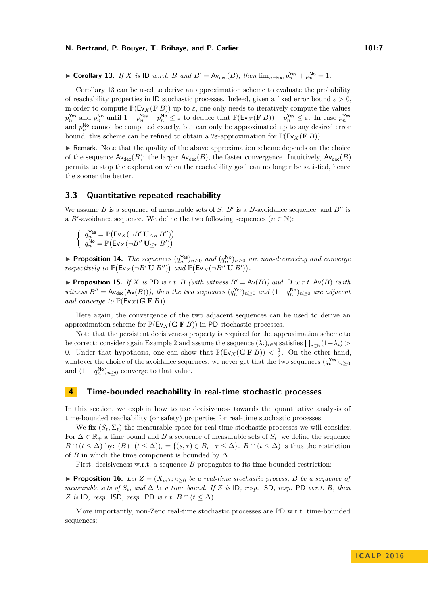<span id="page-6-0"></span>► Corollary 13. *If X is* 1D *w.r.t. B and*  $B' = Av_{dec}(B)$ *, then*  $\lim_{n\to\infty} p_n^{\text{Yes}} + p_n^{\text{No}} = 1$ *.* 

Corollary [13](#page-6-0) can be used to derive an approximation scheme to evaluate the probability of reachability properties in ID stochastic processes. Indeed, given a fixed error bound  $\varepsilon > 0$ , in order to compute  $\mathbb{P}(\mathsf{Ev}_X(\mathbf{F} B))$  up to  $\varepsilon$ , one only needs to iteratively compute the values  $p_n^{\mathsf{Yes}}$  and  $p_n^{\mathsf{No}}$  until  $1-p_n^{\mathsf{Yes}}-p_n^{\mathsf{No}} \leq \varepsilon$  to deduce that  $\mathbb{P}(\mathsf{Ev}_X(\mathbf{F}\,B)) - p_n^{\mathsf{Yes}} \leq \varepsilon$ . In case  $p_n^{\mathsf{Yes}}$ and  $p_n^{\mathsf{No}}$  cannot be computed exactly, but can only be approximated up to any desired error bound, this scheme can be refined to obtain a  $2\varepsilon$ -approximation for  $\mathbb{P}(\mathsf{Ev}_X(\mathbf{F} B))$ .

 $\triangleright$  Remark. Note that the quality of the above approximation scheme depends on the choice of the sequence  $\mathsf{Av}_{\mathsf{dec}}(B)$ : the larger  $\mathsf{Av}_{\mathsf{dec}}(B)$ , the faster convergence. Intuitively,  $\mathsf{Av}_{\mathsf{dec}}(B)$ permits to stop the exploration when the reachability goal can no longer be satisfied, hence the sooner the better.

# <span id="page-6-1"></span>**3.3 Quantitative repeated reachability**

We assume  $B$  is a sequence of measurable sets of  $S$ ,  $B'$  is a  $B$ -avoidance sequence, and  $B''$  is a *B*'-avoidance sequence. We define the two following sequences  $(n \in \mathbb{N})$ :

$$
\left\{\begin{array}{l} q^{\mathsf{Yes}}_{n} = \mathbb{P}\big(\mathsf{Ev}_{X}(\neg B' \, \mathbf{U}_{\le n} \, B'')\big) \\ q^{\mathsf{No}}_{n} = \mathbb{P}\big(\mathsf{Ev}_{X}(\neg B'' \, \mathbf{U}_{\le n} \, B')\big)\end{array}\right.
$$

▶ **Proposition 14.** *The sequences*  $(q_n^{\text{Yes}})_{n\geq 0}$  *and*  $(q_n^{\text{No}})_{n\geq 0}$  *are non-decreasing and converge respectively to*  $\mathbb{P}(\mathsf{Ev}_X(\neg B' \mathbf{U} B''))$  and  $\mathbb{P}(\mathsf{Ev}_X(\neg B'' \mathbf{U} B'))$ .

**Proposition 15.** *If X is* PD *w.r.t. B (with witness*  $B' = Av(B)$ *) and* ID *w.r.t.*  $Av(B)$  *(with witness*  $B'' = Av_{\text{dec}}(Av(B))$ , then the two sequences  $(q_n^{\text{Yes}})_{n\geq 0}$  and  $(1 - q_n^{\text{No}})_{n\geq 0}$  are adjacent *and converge to*  $\mathbb{P}(\mathsf{Ev}_X(\mathbf{G} \mathbf{F} B))$ *.* 

Here again, the convergence of the two adjacent sequences can be used to derive an approximation scheme for  $\mathbb{P}(\mathsf{Ev}_X(\mathbf{G} \mathbf{F} B))$  in PD stochastic processes.

Note that the persistent decisiveness property is required for the approximation scheme to be correct: consider again Example [2](#page-2-1) and assume the sequence  $(\lambda_i)_{i \in \mathbb{N}}$  satisfies  $\prod_{i \in \mathbb{N}} (1 - \lambda_i)$ 0. Under that hypothesis, one can show that  $\mathbb{P}(\mathsf{Ev}_X(\mathbf{G} \mathbf{F} B)) < \frac{1}{2}$ . On the other hand, whatever the choice of the avoidance sequences, we never get that the two sequences  $(q_n^{\text{Yes}})_{n\geq 0}$ and  $(1 - q_n^{\mathsf{No}})_{n \geq 0}$  converge to that value.

# **4 Time-bounded reachability in real-time stochastic processes**

In this section, we explain how to use decisiveness towards the quantitative analysis of time-bounded reachability (or safety) properties for real-time stochastic processes.

We fix  $(S_t, \Sigma_t)$  the measurable space for real-time stochastic processes we will consider. For  $\Delta \in \mathbb{R}_+$  a time bound and *B* a sequence of measurable sets of  $S_t$ , we define the sequence  $B \cap (t \leq \Delta)$  by:  $(B \cap (t \leq \Delta))_i = \{(s, \tau) \in B_i \mid \tau \leq \Delta\}$ .  $B \cap (t \leq \Delta)$  is thus the restriction of *B* in which the time component is bounded by  $\Delta$ .

First, decisiveness w.r.t. a sequence *B* propagates to its time-bounded restriction:

**Proposition 16.** *Let*  $Z = (X_i, \tau_i)_{i \geq 0}$  *be a real-time stochastic process, B be a sequence of measurable sets of*  $S_t$ *, and*  $\Delta$  *be a time bound.* If *Z is* ID*, resp.* ISD*, resp.* PD *w.r.t. B, then Z is* ID*, resp.* ISD*, resp.* PD *w.r.t.*  $B \cap (t \leq \Delta)$ *.* 

More importantly, non-Zeno real-time stochastic processes are PD w.r.t. time-bounded sequences: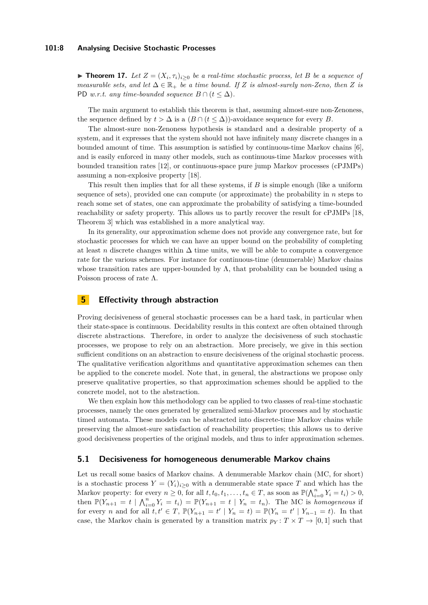#### **101:8 Analysing Decisive Stochastic Processes**

▶ **Theorem 17.** *Let*  $Z = (X_i, \tau_i)_{i \geq 0}$  *be a real-time stochastic process, let B be a sequence of measurable sets, and let*  $\Delta \in \mathbb{R}_+$  *be a time bound. If Z is almost-surely non-Zeno, then Z is* PD *w.r.t.* any time-bounded sequence  $B \cap (t \leq \Delta)$ .

The main argument to establish this theorem is that, assuming almost-sure non-Zenoness, the sequence defined by  $t > \Delta$  is a  $(B \cap (t \leq \Delta))$ -avoidance sequence for every *B*.

The almost-sure non-Zenoness hypothesis is standard and a desirable property of a system, and it expresses that the system should not have infinitely many discrete changes in a bounded amount of time. This assumption is satisfied by continuous-time Markov chains [\[6\]](#page-12-3), and is easily enforced in many other models, such as continuous-time Markov processes with bounded transition rates [\[12\]](#page-12-4), or continuous-space pure jump Markov processes (cPJMPs) assuming a non-explosive property [\[18\]](#page-13-4).

This result then implies that for all these systems, if *B* is simple enough (like a uniform sequence of sets), provided one can compute (or approximate) the probability in *n* steps to reach some set of states, one can approximate the probability of satisfying a time-bounded reachability or safety property. This allows us to partly recover the result for cPJMPs [\[18,](#page-13-4) Theorem 3] which was established in a more analytical way.

In its generality, our approximation scheme does not provide any convergence rate, but for stochastic processes for which we can have an upper bound on the probability of completing at least *n* discrete changes within  $\Delta$  time units, we will be able to compute a convergence rate for the various schemes. For instance for continuous-time (denumerable) Markov chains whose transition rates are upper-bounded by  $\Lambda$ , that probability can be bounded using a Poisson process of rate  $\Lambda$ .

# **5 Effectivity through abstraction**

Proving decisiveness of general stochastic processes can be a hard task, in particular when their state-space is continuous. Decidability results in this context are often obtained through discrete abstractions. Therefore, in order to analyze the decisiveness of such stochastic processes, we propose to rely on an abstraction. More precisely, we give in this section sufficient conditions on an abstraction to ensure decisiveness of the original stochastic process. The qualitative verification algorithms and quantitative approximation schemes can then be applied to the concrete model. Note that, in general, the abstractions we propose only preserve qualitative properties, so that approximation schemes should be applied to the concrete model, not to the abstraction.

We then explain how this methodology can be applied to two classes of real-time stochastic processes, namely the ones generated by generalized semi-Markov processes and by stochastic timed automata. These models can be abstracted into discrete-time Markov chains while preserving the almost-sure satisfaction of reachability properties; this allows us to derive good decisiveness properties of the original models, and thus to infer approximation schemes.

# **5.1 Decisiveness for homogeneous denumerable Markov chains**

Let us recall some basics of Markov chains. A denumerable Markov chain (MC, for short) is a stochastic process  $Y = (Y_i)_{i \geq 0}$  with a denumerable state space T and which has the Markov property: for every  $n \geq 0$ , for all  $t, t_0, t_1, \ldots, t_n \in T$ , as soon as  $\mathbb{P}(\bigwedge_{i=0}^n Y_i = t_i) > 0$ , then  $\mathbb{P}(Y_{n+1} = t \mid \bigwedge_{i=0}^{n} Y_i = t_i) = \mathbb{P}(Y_{n+1} = t \mid Y_n = t_n)$ . The MC is *homogeneous* if for every *n* and for all  $t, t' \in T$ ,  $\mathbb{P}(Y_{n+1} = t' | Y_n = t) = \mathbb{P}(Y_n = t' | Y_{n-1} = t)$ . In that case, the Markov chain is generated by a transition matrix  $p_Y$ :  $T \times T \rightarrow [0, 1]$  such that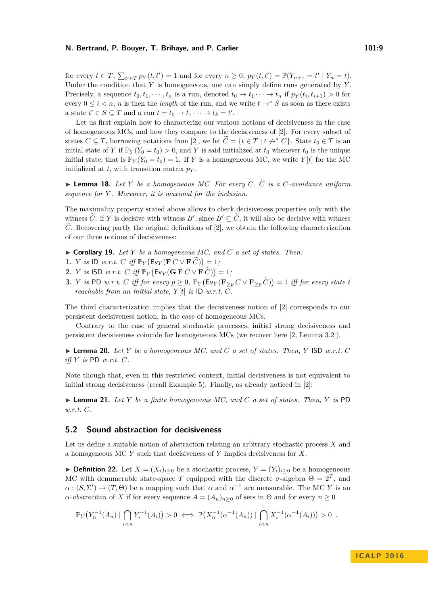for every  $t \in T$ ,  $\sum_{t' \in T} p_Y(t, t') = 1$  and for every  $n \ge 0$ ,  $p_Y(t, t') = \mathbb{P}(Y_{n+1} = t' | Y_n = t)$ . Under the condition that *Y* is homogeneous, one can simply define runs generated by *Y* . Precisely, a sequence  $t_0, t_1, \dots, t_n$  is a run, denoted  $t_0 \to t_1 \dots \to t_n$  if  $p_Y(t_i, t_{i+1}) > 0$  for every  $0 \leq i < n$ ; *n* is then the *length* of the run, and we write  $t \rightarrow * S$  as soon as there exists a state  $t' \in S \subseteq T$  and a run  $t = t_0 \to t_1 \cdots \to t_k = t'$ .

Let us first explain how to characterize our various notions of decisiveness in the case of homogeneous MCs, and how they compare to the decisiveness of [\[2\]](#page-12-0). For every subset of states  $C \subseteq T$ , borrowing notations from [\[2\]](#page-12-0), we let  $\tilde{C} = \{t \in T \mid t \nrightarrow^* C\}$ . State  $t_0 \in T$  is an initial state of *Y* if  $\mathbb{P}_Y(Y_0 = t_0) > 0$ , and *Y* is said initialized at  $t_0$  whenever  $t_0$  is the unique initial state, that is  $\mathbb{P}_Y(Y_0 = t_0) = 1$ . If *Y* is a homogeneous MC, we write *Y*[*t*] for the MC initialized at *t*, with transition matrix  $p<sub>Y</sub>$ .

<span id="page-8-0"></span> $\blacktriangleright$  **Lemma 18.** Let Y be a homogeneous MC. For every C,  $\widetilde{C}$  is a C-avoidance uniform *sequence for Y . Moreover, it is maximal for the inclusion.*

The maximality property stated above allows to check decisiveness properties only with the witness  $\widetilde{C}$ : if *Y* is decisive with witness  $B'$ , since  $B' \subseteq \widetilde{C}$ , it will also be decisive with witness *C*. Recovering partly the original definitions of [\[2\]](#page-12-0), we obtain the following characterization of our three notions of decisiveness:

- ▶ **Corollary 19.** *Let Y be a homogeneous MC, and C a set of states. Then:*
- **1.** *Y is* ID *w.r.t. C iff*  $\mathbb{P}_Y(\mathsf{Ev}_Y(\mathbf{F} C \vee \mathbf{F} \widetilde{C})) = 1$ ;
- **2.** *Y is*  $|SD w.r.t. C$  *iff*  $\mathbb{P}_Y(\mathsf{Ev}_Y(\mathbf{G} \mathbf{F} C \vee \mathbf{F} \widetilde{C})) = 1$ ;
- **3.** *Y is* PD *w.r.t. C iff for every*  $p \geq 0$ ,  $\mathbb{P}_Y(\mathsf{Ev}_Y(\mathbf{F}_{\geq p} C \vee \mathbf{F}_{\geq p} C)) = 1$  *iff for every state t reachable from an initial state,*  $Y[t]$  *is*  $ID$  *w.r.t.*  $C$ *.*

The third characterization implies that the decisiveness notion of [\[2\]](#page-12-0) corresponds to our persistent decisiveness notion, in the case of homogeneous MCs.

Contrary to the case of general stochastic processes, initial strong decisiveness and persistent decisiveness coincide for homogeneous MCs (we recover here [\[2,](#page-12-0) Lemma 3.2]).

 $\blacktriangleright$  **Lemma 20.** Let Y be a homogeneous MC, and C a set of states. Then, Y ISD w.r.t. C *iff Y is* PD *w.r.t. C.*

Note though that, even in this restricted context, initial decisiveness is not equivalent to initial strong decisiveness (recall Example [5\)](#page-3-0). Finally, as already noticed in [\[2\]](#page-12-0):

 $\blacktriangleright$  **Lemma 21.** Let Y be a finite homogeneous MC, and C a set of states. Then, Y is PD *w.r.t. C.*

# **5.2 Sound abstraction for decisiveness**

Let us define a suitable notion of abstraction relating an arbitrary stochastic process *X* and a homogeneous MC *Y* such that decisiveness of *Y* implies decisiveness for *X*.

▶ **Definition 22.** Let  $X = (X_i)_{i>0}$  be a stochastic process,  $Y = (Y_i)_{i>0}$  be a homogeneous MC with denumerable state-space *T* equipped with the discrete  $\sigma$ -algebra  $\Theta = 2^T$ , and  $\alpha$  :  $(S, \Sigma') \rightarrow (T, \Theta)$  be a mapping such that  $\alpha$  and  $\alpha^{-1}$  are measurable. The MC *Y* is an *α-abstraction* of *X* if for every sequence  $A = (A_n)_{n>0}$  of sets in Θ and for every  $n \geq 0$ 

$$
\mathbb{P}_Y(Y_n^{-1}(A_n) | \bigcap_{i < n} Y_i^{-1}(A_i)) > 0 \iff \mathbb{P}(X_n^{-1}(\alpha^{-1}(A_n)) | \bigcap_{i < n} X_i^{-1}(\alpha^{-1}(A_i)) \big) > 0 \; .
$$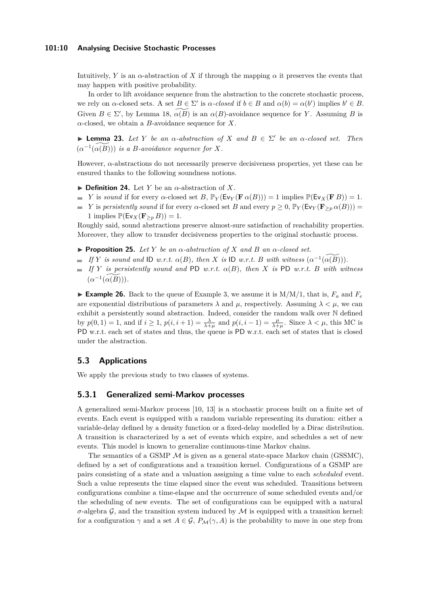#### **101:10 Analysing Decisive Stochastic Processes**

Intuitively, *Y* is an  $\alpha$ -abstraction of *X* if through the mapping  $\alpha$  it preserves the events that may happen with positive probability.

In order to lift avoidance sequence from the abstraction to the concrete stochastic process, we rely on *α*-closed sets. A set  $B \in \Sigma'$  is *α*-closed if  $b \in B$  and  $\alpha(b) = \alpha(b')$  implies  $b' \in B$ . Given  $B \in \Sigma'$ , by Lemma [18,](#page-8-0)  $\widetilde{\alpha(B)}$  is an  $\alpha(B)$ -avoidance sequence for *Y*. Assuming *B* is  $\alpha$ -closed, we obtain a *B*-avoidance sequence for *X*.

**Lemma 23.** *Let Y be an*  $\alpha$ *-abstraction of X and*  $B \in \Sigma'$  *be an*  $\alpha$ *-closed set. Then*  $(\alpha^{-1}(\widetilde{\alpha(B)}))$  *is a B-avoidance sequence for* X.

However, *α*-abstractions do not necessarily preserve decisiveness properties, yet these can be ensured thanks to the following soundness notions.

- $\blacktriangleright$  **Definition 24.** Let *Y* be an *α*-abstraction of *X*.
- *Y* is *sound* if for every *α*-closed set *B*,  $\mathbb{P}_Y$ (Ev<sub>*Y*</sub>(**F**  $\alpha(B))$ ) = 1 implies  $\mathbb{P}(\mathbb{E}_{Y_X}(FB)) = 1$ .
- $\blacksquare$  *Y* is *persistently sound* if for every *α*-closed set *B* and every  $p \geq 0$ ,  $\mathbb{P}_Y(\mathsf{Ev}_Y(\mathbf{F}_{\geq p} \alpha(B)))$  = 1 implies  $\mathbb{P}(\mathsf{Ev}_X(\mathbf{F}_{\geq p} B)) = 1$ .

Roughly said, sound abstractions preserve almost-sure satisfaction of reachability properties. Moreover, they allow to transfer decisiveness properties to the original stochastic process.

- <span id="page-9-1"></span>**Proposition 25.** Let Y be an  $\alpha$ -abstraction of X and B an  $\alpha$ -closed set.
- *If Y is sound and* ID *w.r.t.*  $\alpha(B)$ *, then X is* ID *w.r.t. B with witness*  $(\alpha^{-1}(\widetilde{\alpha(B)}))$ *.*
- $\blacksquare$  *If Y is persistently sound and* PD *w.r.t.*  $\alpha(B)$ *, then X is* PD *w.r.t. B with witness*  $(\alpha^{-1}(\widetilde{\alpha(B)})).$

**Example 26.** Back to the queue of Example [3,](#page-2-2) we assume it is  $M/M/1$ , that is,  $F_a$  and  $F_e$ are exponential distributions of parameters  $\lambda$  and  $\mu$ , respectively. Assuming  $\lambda < \mu$ , we can exhibit a persistently sound abstraction. Indeed, consider the random walk over N defined by  $p(0,1) = 1$ , and if  $i \ge 1$ ,  $p(i, i + 1) = \frac{\lambda}{\lambda + \mu}$  and  $p(i, i - 1) = \frac{\mu}{\lambda + \mu}$ . Since  $\lambda < \mu$ , this MC is PD w.r.t. each set of states and thus, the queue is PD w.r.t. each set of states that is closed under the abstraction.

# <span id="page-9-0"></span>**5.3 Applications**

We apply the previous study to two classes of systems.

# **5.3.1 Generalized semi-Markov processes**

A generalized semi-Markov process [\[10,](#page-12-5) [13\]](#page-12-6) is a stochastic process built on a finite set of events. Each event is equipped with a random variable representing its duration: either a variable-delay defined by a density function or a fixed-delay modelled by a Dirac distribution. A transition is characterized by a set of events which expire, and schedules a set of new events. This model is known to generalize continuous-time Markov chains.

The semantics of a GSMP  $\mathcal M$  is given as a general state-space Markov chain (GSSMC), defined by a set of configurations and a transition kernel. Configurations of a GSMP are pairs consisting of a state and a valuation assigning a time value to each *scheduled* event. Such a value represents the time elapsed since the event was scheduled. Transitions between configurations combine a time-elapse and the occurrence of some scheduled events and/or the scheduling of new events. The set of configurations can be equipped with a natural  $\sigma$ -algebra  $\mathcal{G}$ , and the transition system induced by  $\mathcal{M}$  is equipped with a transition kernel: for a configuration  $\gamma$  and a set  $A \in \mathcal{G}$ ,  $P_{\mathcal{M}}(\gamma, A)$  is the probability to move in one step from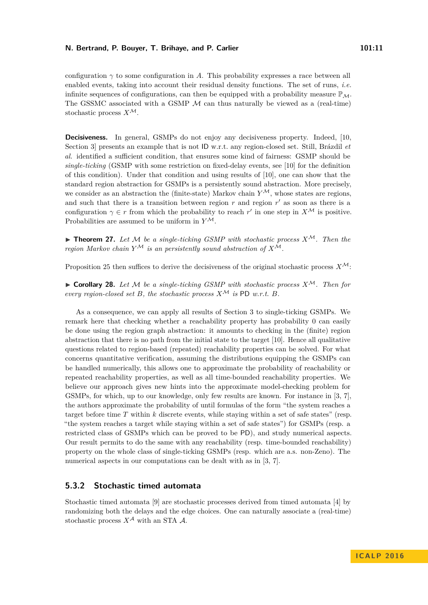configuration  $\gamma$  to some configuration in *A*. This probability expresses a race between all enabled events, taking into account their residual density functions. The set of runs, *i.e.* infinite sequences of configurations, can then be equipped with a probability measure  $\mathbb{P}_{M}$ . The GSSMC associated with a GSMP  $M$  can thus naturally be viewed as a (real-time) stochastic process  $X^{\mathcal{M}}$ .

**Decisiveness.** In general, GSMPs do not enjoy any decisiveness property. Indeed, [\[10,](#page-12-5) Section 3] presents an example that is not ID w.r.t. any region-closed set. Still, Brázdil *et al.* identified a sufficient condition, that ensures some kind of fairness: GSMP should be *single-ticking* (GSMP with some restriction on fixed-delay events, see [\[10\]](#page-12-5) for the definition of this condition). Under that condition and using results of [\[10\]](#page-12-5), one can show that the standard region abstraction for GSMPs is a persistently sound abstraction. More precisely, we consider as an abstraction the (finite-state) Markov chain  $Y^{\mathcal{M}}$ , whose states are regions, and such that there is a transition between region  $r$  and region  $r'$  as soon as there is a configuration  $\gamma \in r$  from which the probability to reach r' in one step in  $X^{\mathcal{M}}$  is positive. Probabilities are assumed to be uniform in *Y* <sup>M</sup>.

 $\triangleright$  **Theorem 27.** Let M be a single-ticking GSMP with stochastic process  $X^{\mathcal{M}}$ . Then the *region Markov chain*  $Y^{\mathcal{M}}$  *is an persistently sound abstraction of*  $X^{\mathcal{M}}$ *.* 

Proposition [25](#page-9-1) then suffices to derive the decisiveness of the original stochastic process  $X^{\mathcal{M}}$ :

 $\triangleright$  **Corollary 28.** Let M be a single-ticking GSMP with stochastic process  $X^{\mathcal{M}}$ . Then for *every region-closed set B, the stochastic process*  $X^{\mathcal{M}}$  *is* PD *w.r.t. B.* 

As a consequence, we can apply all results of Section [3](#page-4-0) to single-ticking GSMPs. We remark here that checking whether a reachability property has probability 0 can easily be done using the region graph abstraction: it amounts to checking in the (finite) region abstraction that there is no path from the initial state to the target [\[10\]](#page-12-5). Hence all qualitative questions related to region-based (repeated) reachability properties can be solved. For what concerns quantitative verification, assuming the distributions equipping the GSMPs can be handled numerically, this allows one to approximate the probability of reachability or repeated reachability properties, as well as all time-bounded reachability properties. We believe our approach gives new hints into the approximate model-checking problem for GSMPs, for which, up to our knowledge, only few results are known. For instance in [\[3,](#page-12-7) [7\]](#page-12-8), the authors approximate the probability of until formulas of the form "the system reaches a target before time *T* within *k* discrete events, while staying within a set of safe states" (resp. "the system reaches a target while staying within a set of safe states") for GSMPs (resp. a restricted class of GSMPs which can be proved to be PD), and study numerical aspects. Our result permits to do the same with any reachability (resp. time-bounded reachability) property on the whole class of single-ticking GSMPs (resp. which are a.s. non-Zeno). The numerical aspects in our computations can be dealt with as in [\[3,](#page-12-7) [7\]](#page-12-8).

# **5.3.2 Stochastic timed automata**

Stochastic timed automata [\[9\]](#page-12-2) are stochastic processes derived from timed automata [\[4\]](#page-12-1) by randomizing both the delays and the edge choices. One can naturally associate a (real-time) stochastic process  $X^{\mathcal{A}}$  with an STA  $\mathcal{A}$ .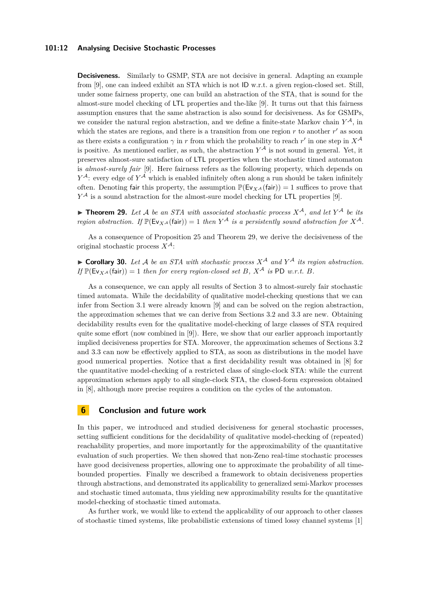## **101:12 Analysing Decisive Stochastic Processes**

**Decisiveness.** Similarly to GSMP, STA are not decisive in general. Adapting an example from [\[9\]](#page-12-2), one can indeed exhibit an STA which is not ID w.r.t. a given region-closed set. Still, under some fairness property, one can build an abstraction of the STA, that is sound for the almost-sure model checking of LTL properties and the-like [\[9\]](#page-12-2). It turns out that this fairness assumption ensures that the same abstraction is also sound for decisiveness. As for GSMPs, we consider the natural region abstraction, and we define a finite-state Markov chain  $Y^{\mathcal{A}}$ , in which the states are regions, and there is a transition from one region  $r$  to another  $r'$  as soon as there exists a configuration  $\gamma$  in r from which the probability to reach r' in one step in  $X^{\mathcal{A}}$ is positive. As mentioned earlier, as such, the abstraction  $Y^{\mathcal{A}}$  is not sound in general. Yet, it preserves almost-sure satisfaction of LTL properties when the stochastic timed automaton is *almost-surely fair* [\[9\]](#page-12-2). Here fairness refers as the following property, which depends on *Y* <sup>A</sup>: every edge of *Y* <sup>A</sup> which is enabled infinitely often along a run should be taken infinitely often. Denoting fair this property, the assumption  $\mathbb{P}(\mathsf{Ev}_{X,A}(\mathsf{fair})) = 1$  suffices to prove that  $Y^{\mathcal{A}}$  is a sound abstraction for the almost-sure model checking for LTL properties [\[9\]](#page-12-2).

<span id="page-11-0"></span> $\blacktriangleright$  **Theorem 29.** Let A be an STA with associated stochastic process  $X^{\mathcal{A}}$ , and let  $Y^{\mathcal{A}}$  be its *region abstraction.* If  $\mathbb{P}(\mathsf{Ev}_{X}A(\textsf{fair})) = 1$  *then*  $Y^{\mathcal{A}}$  *is a persistently sound abstraction for*  $X^{\mathcal{A}}$ *.* 

As a consequence of Proposition [25](#page-9-1) and Theorem [29,](#page-11-0) we derive the decisiveness of the original stochastic process  $X^{\mathcal{A}}$ :

 $\triangleright$  **Corollary 30.** Let A be an STA with stochastic process  $X^{\mathcal{A}}$  and  $Y^{\mathcal{A}}$  its region abstraction.  $I$ f  $\mathbb{P}(\mathsf{Ev}_{X}A \cap \mathsf{fair}) = 1$  *then for every region-closed set B,*  $X^{\mathcal{A}}$  *is* PD *w.r.t. B.* 

As a consequence, we can apply all results of Section [3](#page-4-0) to almost-surely fair stochastic timed automata. While the decidability of qualitative model-checking questions that we can infer from Section [3.1](#page-5-0) were already known [\[9\]](#page-12-2) and can be solved on the region abstraction, the approximation schemes that we can derive from Sections [3.2](#page-5-1) and [3.3](#page-6-1) are new. Obtaining decidability results even for the qualitative model-checking of large classes of STA required quite some effort (now combined in [\[9\]](#page-12-2)). Here, we show that our earlier approach importantly implied decisiveness properties for STA. Moreover, the approximation schemes of Sections [3.2](#page-5-1) and [3.3](#page-6-1) can now be effectively applied to STA, as soon as distributions in the model have good numerical properties. Notice that a first decidability result was obtained in [\[8\]](#page-12-9) for the quantitative model-checking of a restricted class of single-clock STA: while the current approximation schemes apply to all single-clock STA, the closed-form expression obtained in [\[8\]](#page-12-9), although more precise requires a condition on the cycles of the automaton.

# **6 Conclusion and future work**

In this paper, we introduced and studied decisiveness for general stochastic processes, setting sufficient conditions for the decidability of qualitative model-checking of (repeated) reachability properties, and more importantly for the approximability of the quantitative evaluation of such properties. We then showed that non-Zeno real-time stochastic processes have good decisiveness properties, allowing one to approximate the probability of all timebounded properties. Finally we described a framework to obtain decisiveness properties through abstractions, and demonstrated its applicability to generalized semi-Markov processes and stochastic timed automata, thus yielding new approximability results for the quantitative model-checking of stochastic timed automata.

As further work, we would like to extend the applicability of our approach to other classes of stochastic timed systems, like probabilistic extensions of timed lossy channel systems [\[1\]](#page-12-10)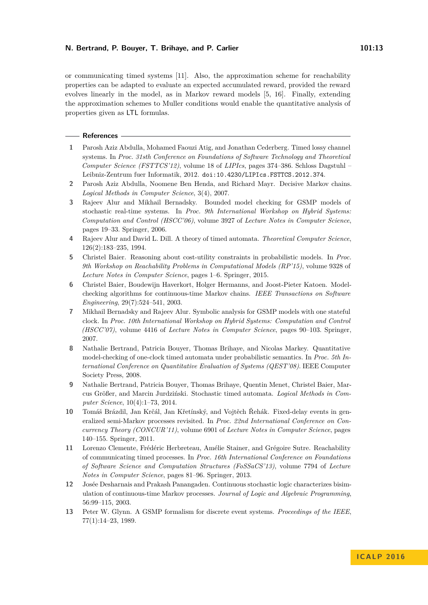# **References**

- <span id="page-12-10"></span>**1** Parosh Aziz Abdulla, Mohamed Faouzi Atig, and Jonathan Cederberg. Timed lossy channel systems. In *Proc. 31sth Conference on Foundations of Software Technology and Theoretical Computer Science (FSTTCS'12)*, volume 18 of *LIPIcs*, pages 374–386. Schloss Dagstuhl – Leibniz-Zentrum fuer Informatik, 2012. [doi:10.4230/LIPIcs.FSTTCS.2012.374](http://dx.doi.org/10.4230/LIPIcs.FSTTCS.2012.374).
- <span id="page-12-0"></span>**2** Parosh Aziz Abdulla, Noomene Ben Henda, and Richard Mayr. Decisive Markov chains. *Logical Methods in Computer Science*, 3(4), 2007.
- <span id="page-12-7"></span>**3** Rajeev Alur and Mikhail Bernadsky. Bounded model checking for GSMP models of stochastic real-time systems. In *Proc. 9th International Workshop on Hybrid Systems: Computation and Control (HSCC'06)*, volume 3927 of *Lecture Notes in Computer Science*, pages 19–33. Springer, 2006.
- <span id="page-12-1"></span>**4** Rajeev Alur and David L. Dill. A theory of timed automata. *Theoretical Computer Science*, 126(2):183–235, 1994.
- <span id="page-12-12"></span>**5** Christel Baier. Reasoning about cost-utility constraints in probabilistic models. In *Proc. 9th Workshop on Reachability Problems in Computational Models (RP'15)*, volume 9328 of *Lecture Notes in Computer Science*, pages 1–6. Springer, 2015.
- <span id="page-12-3"></span>**6** Christel Baier, Boudewijn Haverkort, Holger Hermanns, and Joost-Pieter Katoen. Modelchecking algorithms for continuous-time Markov chains. *IEEE Transactions on Software Engineering*, 29(7):524–541, 2003.
- <span id="page-12-8"></span>**7** Mikhail Bernadsky and Rajeev Alur. Symbolic analysis for GSMP models with one stateful clock. In *Proc. 10th International Workshop on Hybrid Systems: Computation and Control (HSCC'07)*, volume 4416 of *Lecture Notes in Computer Science*, pages 90–103. Springer, 2007.
- <span id="page-12-9"></span>**8** Nathalie Bertrand, Patricia Bouyer, Thomas Brihaye, and Nicolas Markey. Quantitative model-checking of one-clock timed automata under probabilistic semantics. In *Proc. 5th International Conference on Quantitative Evaluation of Systems (QEST'08)*. IEEE Computer Society Press, 2008.
- <span id="page-12-2"></span>**9** Nathalie Bertrand, Patricia Bouyer, Thomas Brihaye, Quentin Menet, Christel Baier, Marcus Größer, and Marcin Jurdziński. Stochastic timed automata. *Logical Methods in Computer Science*, 10(4):1–73, 2014.
- <span id="page-12-5"></span>**10** Tomáš Brázdil, Jan Krčál, Jan Křetínský, and Vojtěch Řehák. Fixed-delay events in generalized semi-Markov processes revisited. In *Proc. 22nd International Conference on Concurrency Theory (CONCUR'11)*, volume 6901 of *Lecture Notes in Computer Science*, pages 140–155. Springer, 2011.
- <span id="page-12-11"></span>**11** Lorenzo Clemente, Frédéric Herbreteau, Amélie Stainer, and Grégoire Sutre. Reachability of communicating timed processes. In *Proc. 16th International Conference on Foundations of Software Science and Computation Structures (FoSSaCS'13)*, volume 7794 of *Lecture Notes in Computer Science*, pages 81–96. Springer, 2013.
- <span id="page-12-4"></span>**12** Josée Desharnais and Prakash Panangaden. Continuous stochastic logic characterizes bisimulation of continuous-time Markov processes. *Journal of Logic and Algebraic Programming*, 56:99–115, 2003.
- <span id="page-12-6"></span>**13** Peter W. Glynn. A GSMP formalism for discrete event systems. *Proceedings of the IEEE*, 77(1):14–23, 1989.